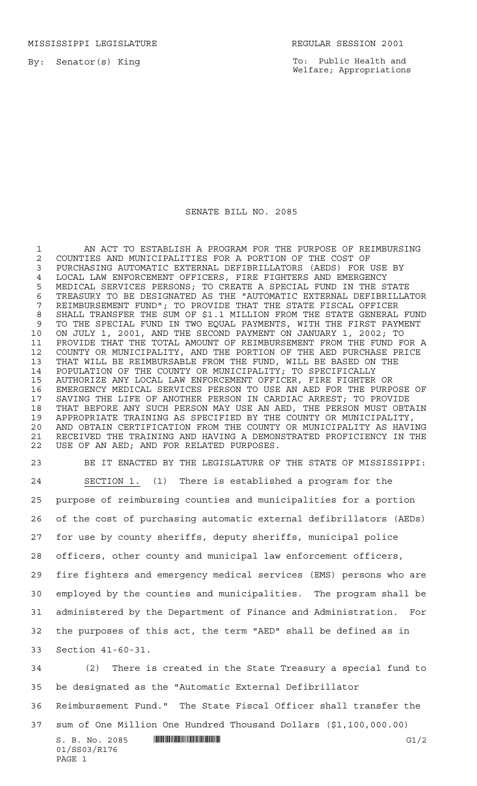MISSISSIPPI LEGISLATURE REGULAR SESSION 2001

By: Senator(s) King

To: Public Health and Welfare; Appropriations

## SENATE BILL NO. 2085

1 AN ACT TO ESTABLISH A PROGRAM FOR THE PURPOSE OF REIMBURSING COUNTIES AND MUNICIPALITIES FOR A PORTION OF THE COST OF PURCHASING AUTOMATIC EXTERNAL DEFIBRILLATORS (AEDS) FOR USE BY 4 LOCAL LAW ENFORCEMENT OFFICERS, FIRE FIGHTERS AND EMERGENCY<br>5 MEDICAL SERVICES PERSONS; TO CREATE A SPECIAL FUND IN THE S MEDICAL SERVICES PERSONS; TO CREATE A SPECIAL FUND IN THE STATE 6 TREASURY TO BE DESIGNATED AS THE "AUTOMATIC EXTERNAL DEFIBRILLATOR<br>7 REIMBURSEMENT FUND"; TO PROVIDE THAT THE STATE FISCAL OFFICER REIMBURSEMENT FUND"; TO PROVIDE THAT THE STATE FISCAL OFFICER SHALL TRANSFER THE SUM OF \$1.1 MILLION FROM THE STATE GENERAL FUND TO THE SPECIAL FUND IN TWO EQUAL PAYMENTS, WITH THE FIRST PAYMENT ON JULY 1, 2001, AND THE SECOND PAYMENT ON JANUARY 1, 2002; TO PROVIDE THAT THE TOTAL AMOUNT OF REIMBURSEMENT FROM THE FUND FOR A COUNTY OR MUNICIPALITY, AND THE PORTION OF THE AED PURCHASE PRICE THAT WILL BE REIMBURSABLE FROM THE FUND, WILL BE BASED ON THE POPULATION OF THE COUNTY OR MUNICIPALITY; TO SPECIFICALLY AUTHORIZE ANY LOCAL LAW ENFORCEMENT OFFICER, FIRE FIGHTER OR EMERGENCY MEDICAL SERVICES PERSON TO USE AN AED FOR THE PURPOSE OF SAVING THE LIFE OF ANOTHER PERSON IN CARDIAC ARREST; TO PROVIDE THAT BEFORE ANY SUCH PERSON MAY USE AN AED, THE PERSON MUST OBTAIN APPROPRIATE TRAINING AS SPECIFIED BY THE COUNTY OR MUNICIPALITY, AND OBTAIN CERTIFICATION FROM THE COUNTY OR MUNICIPALITY AS HAVING RECEIVED THE TRAINING AND HAVING A DEMONSTRATED PROFICIENCY IN THE USE OF AN AED; AND FOR RELATED PURPOSES.

 BE IT ENACTED BY THE LEGISLATURE OF THE STATE OF MISSISSIPPI: SECTION 1. (1) There is established a program for the purpose of reimbursing counties and municipalities for a portion of the cost of purchasing automatic external defibrillators (AEDs) for use by county sheriffs, deputy sheriffs, municipal police officers, other county and municipal law enforcement officers, fire fighters and emergency medical services (EMS) persons who are employed by the counties and municipalities. The program shall be administered by the Department of Finance and Administration. For the purposes of this act, the term "AED" shall be defined as in Section 41-60-31. (2) There is created in the State Treasury a special fund to be designated as the "Automatic External Defibrillator Reimbursement Fund." The State Fiscal Officer shall transfer the sum of One Million One Hundred Thousand Dollars (\$1,100,000.00)

 $S. B. No. 2085$  .  $\blacksquare$   $\blacksquare$   $\blacksquare$   $\blacksquare$   $\blacksquare$   $\blacksquare$   $\blacksquare$   $\blacksquare$   $\blacksquare$   $\blacksquare$   $\blacksquare$   $\blacksquare$   $\blacksquare$   $\blacksquare$   $\blacksquare$   $\blacksquare$   $\blacksquare$   $\blacksquare$   $\blacksquare$   $\blacksquare$   $\blacksquare$   $\blacksquare$   $\blacksquare$   $\blacksquare$   $\blacksquare$   $\blacksquare$   $\blacksquare$   $\blacksquare$   $\blacksquare$   $\$ 01/SS03/R176 PAGE 1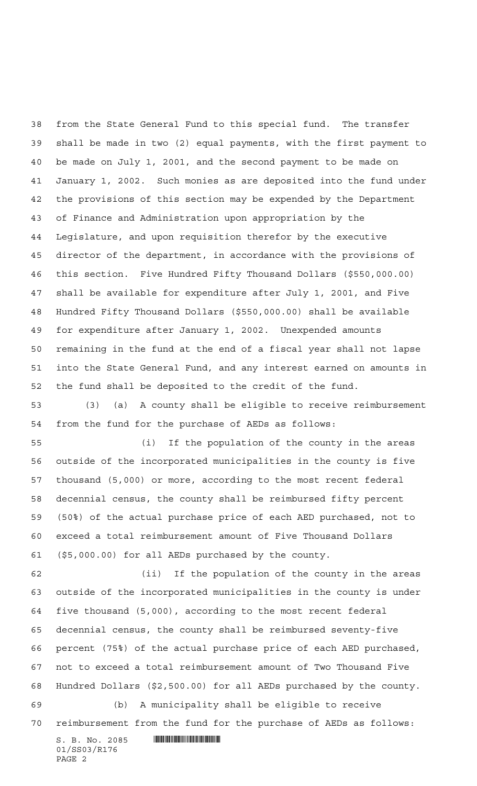from the State General Fund to this special fund. The transfer shall be made in two (2) equal payments, with the first payment to be made on July 1, 2001, and the second payment to be made on January 1, 2002. Such monies as are deposited into the fund under the provisions of this section may be expended by the Department of Finance and Administration upon appropriation by the Legislature, and upon requisition therefor by the executive director of the department, in accordance with the provisions of this section. Five Hundred Fifty Thousand Dollars (\$550,000.00) shall be available for expenditure after July 1, 2001, and Five Hundred Fifty Thousand Dollars (\$550,000.00) shall be available for expenditure after January 1, 2002. Unexpended amounts remaining in the fund at the end of a fiscal year shall not lapse into the State General Fund, and any interest earned on amounts in the fund shall be deposited to the credit of the fund. (3) (a) A county shall be eligible to receive reimbursement

from the fund for the purchase of AEDs as follows:

 (i) If the population of the county in the areas outside of the incorporated municipalities in the county is five thousand (5,000) or more, according to the most recent federal decennial census, the county shall be reimbursed fifty percent (50%) of the actual purchase price of each AED purchased, not to exceed a total reimbursement amount of Five Thousand Dollars (\$5,000.00) for all AEDs purchased by the county.

 (ii) If the population of the county in the areas outside of the incorporated municipalities in the county is under five thousand (5,000), according to the most recent federal decennial census, the county shall be reimbursed seventy-five percent (75%) of the actual purchase price of each AED purchased, not to exceed a total reimbursement amount of Two Thousand Five Hundred Dollars (\$2,500.00) for all AEDs purchased by the county. (b) A municipality shall be eligible to receive

reimbursement from the fund for the purchase of AEDs as follows:

 $S. B. No. 2085$  .  $\blacksquare$ 01/SS03/R176 PAGE 2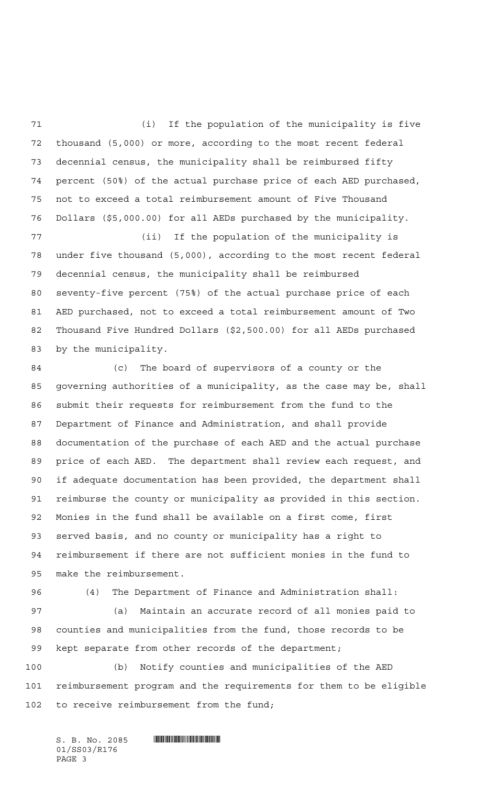(i) If the population of the municipality is five thousand (5,000) or more, according to the most recent federal decennial census, the municipality shall be reimbursed fifty percent (50%) of the actual purchase price of each AED purchased, not to exceed a total reimbursement amount of Five Thousand Dollars (\$5,000.00) for all AEDs purchased by the municipality.

 (ii) If the population of the municipality is under five thousand (5,000), according to the most recent federal decennial census, the municipality shall be reimbursed seventy-five percent (75%) of the actual purchase price of each AED purchased, not to exceed a total reimbursement amount of Two Thousand Five Hundred Dollars (\$2,500.00) for all AEDs purchased by the municipality.

 (c) The board of supervisors of a county or the governing authorities of a municipality, as the case may be, shall submit their requests for reimbursement from the fund to the Department of Finance and Administration, and shall provide documentation of the purchase of each AED and the actual purchase price of each AED. The department shall review each request, and if adequate documentation has been provided, the department shall reimburse the county or municipality as provided in this section. Monies in the fund shall be available on a first come, first served basis, and no county or municipality has a right to reimbursement if there are not sufficient monies in the fund to make the reimbursement.

(4) The Department of Finance and Administration shall:

 (a) Maintain an accurate record of all monies paid to counties and municipalities from the fund, those records to be kept separate from other records of the department;

 (b) Notify counties and municipalities of the AED reimbursement program and the requirements for them to be eligible 102 to receive reimbursement from the fund;

 $S. B. No. 2085$  . The set of the set of  $\sim$  set of  $S. B. No. 2085$ 01/SS03/R176 PAGE 3